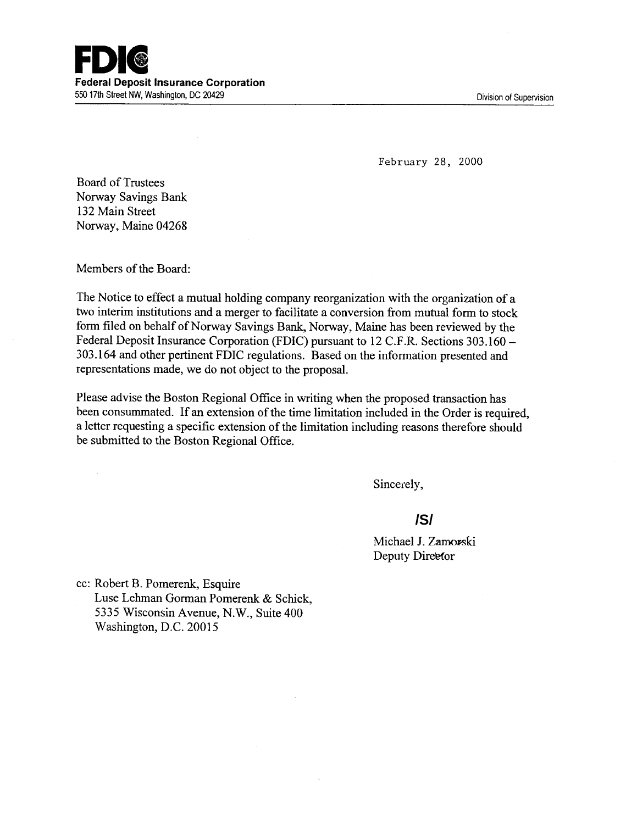February 28, 2000

Board of Trustees Norway Savings Bank 132 Main Street Norway, Maine 04268

Members of the Board:

 $\mathcal{L}$ 

The Notice to effect a mutual holding company reorganization with the organization of a two interim institutions and a merger to facilitate a conversion from mutual form to stock form filed on behalf of Norway Savings Bank, Norway, Maine has been reviewed by the Federal Deposit Insurance Corporation (FDIC) pursuant to 12 C.F.R. Sections 303.160 - 303.164 and other pertinent FDIC regulations. Based on the information presented and representations made, we do not object to the proposal.

Please advise the Boston Regional Office in writing when the proposed transaction has been consummated. If an extension of the time limitation included in the Order is required, a letter requesting a specific extension of the limitation including reasons therefore should be submitted to the Boston Regional Office.

Sincerely,

# **/S/**

Michael J. Z Deputy Direefor

cc: Robert B. Pomerenk, Esquire Luse Lehman Gorman Pomerenk & Schick, 5335 Wisconsin Avenue, N.W., Suite 400 Washington, D.C. 20015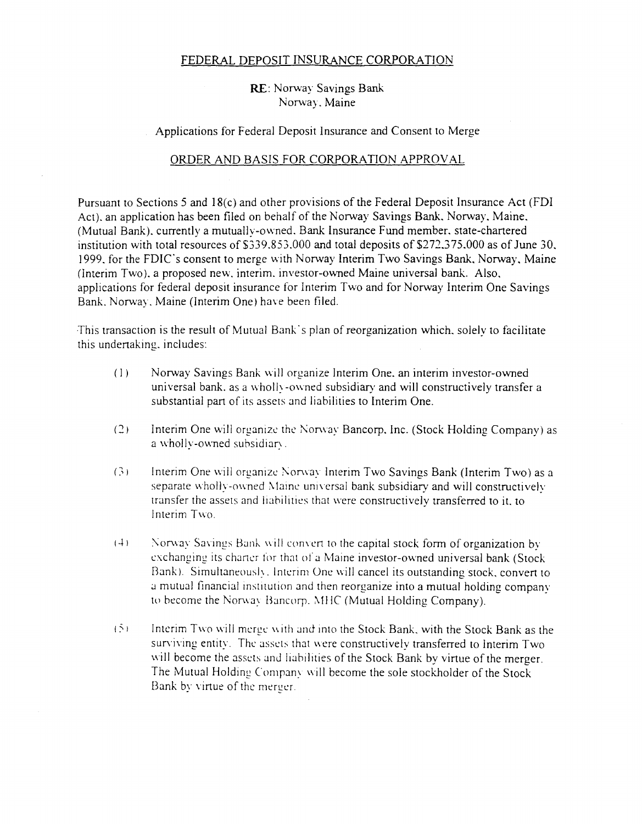## FEDERAL DEPOSIT INSURANCE CORPORATION

# RE: Norway Savings Bank Norway. Maine

#### Applications for Federal Deposit Insurance and Consent to Merge

# ORDER AND BASIS FOR CORPORATION APPROVAL

Pursuant to Sections 5 and 18(c) and other provisions of the Federal Deposit Insurance Act (FDI Act). an application has been filed on behalf of the Norway Savings Bank. Norway. Maine. (Mutual Bank). currently a mutually-owned. Bank Insurance Fund member. state-chartered institution with total resources of \$339.853.000 and total deposits of \$272.375.000 as of June 30. 1999. for the FDIC's consent to merge with Norway Interim Two Savings Bank, Norway, Maine (interim Two). a proposed new. interim. investor-owned Maine universal bank. Also. applications for federal deposit insurance for Interim Two and for Norway Interim One Savings Bank. Norway. Maine (Interim One) have been filed.

This transaction is the result of Mutual Bank's plan of reorganization which, solely to facilitate this undertaking. includes:

- (I) Norway Savings Bank will organize Interim One. an interim investor-owned universal bank. as a wholly-owned subsidiary and will constructively transfer a substantial part of its assets and liabilities to Interim One.
- (2) Interim One will organize the Norway Bancorp. Inc. (Stock Holding Company) as a wholly-owned subsidiary.
- (3) Interim One will organize Norway Interim Two Savings Bank (Interim Two) as a separate wholly-owned Maine universal bank subsidiary and will constructively transfer the assets and liabilities that were constructively transferred to it. to Interim Two.
- $(4)$  Norway Savings Bank will convert to the capital stock form of organization by exchanging its charter for that of a Maine investor-owned universal bank (Stock Bank). Simultaneously, Interim One will cancel its outstanding stock, convert to a mutual financial institution and then reorganize into a mutual holding company to become the Norway Bancorp. MHC (Mutual Holding Company).
- $(5)$  1 Interim Two will merge with and into the Stock Bank, with the Stock Bank as the surviving entity. The assets that were constructively transferred to Interim Two. will become the assets and liabilities of the Stock Bank by virtue of the merger. The Mutual Holding Company will become the sole stockholder of the Stock Bank by virtue of the merger.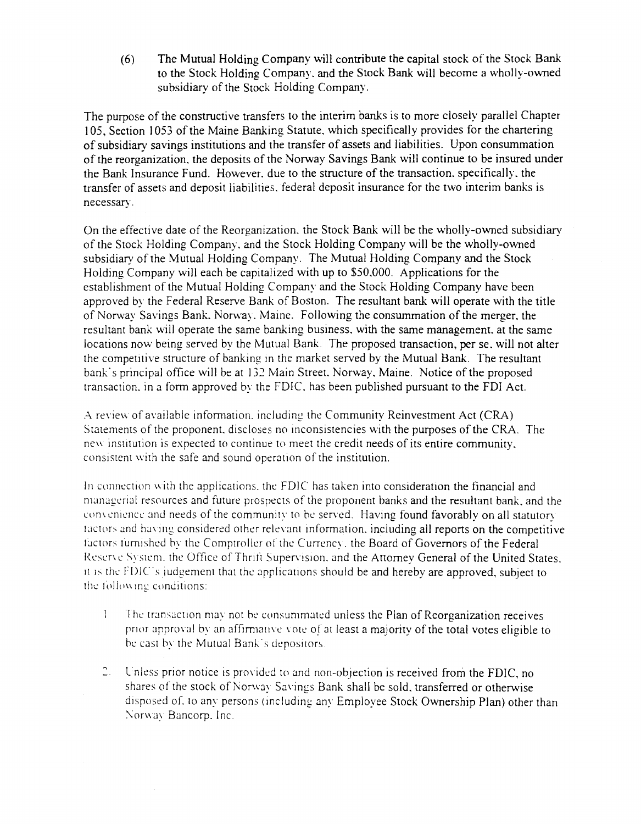(6) The Mutual Holding Company will contribute the capital stock of the Stock Bank to the Stock Holding Company. and the Stock Bank will become a wholly-owned subsidiary of the Stock Holding Company.

The purpose of the constructive transfers to the interim banks is to more closely parallel Chapter I 05, Section 1053 of the Maine Banking Statute. which specifically provides for the chartering of subsidiary savings institutions and the transfer of assets and liabilities. Upon consummation of the reorganization. the deposits of the Norway Savings Bank will continue to be insured under the Bank Insurance Fund. However. due to the structure of the transaction. specifically. the transfer of assets and deposit liabilities. federal deposit insurance for the two interim banks is necessary.

On the effective date of the Reorganization. the Stock Bank will be the wholly-owned subsidiary of the Stock Holding Company. and the Stock Holding Company will be the wholly-owned subsidiary of the Mutual Holding Company. The Mutual Holding Company and the Stock Holding Company will each be capitalized with up to \$50.000. Applications for the establishment of the Mutual Holding Company and the Stock Holding Company have been approved by the Federal Reserve Bank of Boston. The resultant bank will operate with the title of Norway Savings Bank. Norway. Maine. Following the consummation of the merger, the resultant bank will operate the same banking business. with the same management. at the same locations now being served by the Mutual Bank. The proposed transaction, per se. will not alter the competitive structure of banking in the market served by the Mutual Bank. The resultant bank's principal office will be at 132 Main Street. Norway, Maine. Notice of the proposed transaction. in a form approved by the FDIC. has been published pursuant to the FDI Act.

A review of available information, including the Community Reinvestment Act (CRA) Statements of the proponent. discloses no inconsistencies with the purposes of the CRA. The new institution is expected to continue to meet the credit needs of its entire community, consistent with the safe and sound operation of the institution.

In connection with the applications, the  $FDIC$  has taken into consideration the financial and managerial resources and future prospects of the proponent banks and the resultant bank, and the convenience and needs of the community to be served. Having found favorably on all statutory tactors and having considered other relevant information, including all reports on the competitive tactors furnished by the Comptroller of the Currency, the Board of Governors of the Federal Reserve System. the Office of Thrift Supervision, and the Attorney General of the United States. It is the  $FDIC$ 's judgement that the applications should be and hereby are approved, subject to the following conditions:

- The transaction may not he consummated unless the Plan of Reorganization receives  $\mathbf{1}$ prior approval by an affirmative vote of at least a majority of the total votes eligible to be cast by the Mutual Bank's depositors.
- 2. Unless prior notice is provided to and non-objection is received from the FDIC, no shares of the stock of Norway Savings Bank shall be sold, transferred or otherwise disposed of, to any persons (including any Employee Stock Ownership Plan) other than Norway Bancorp. Inc.